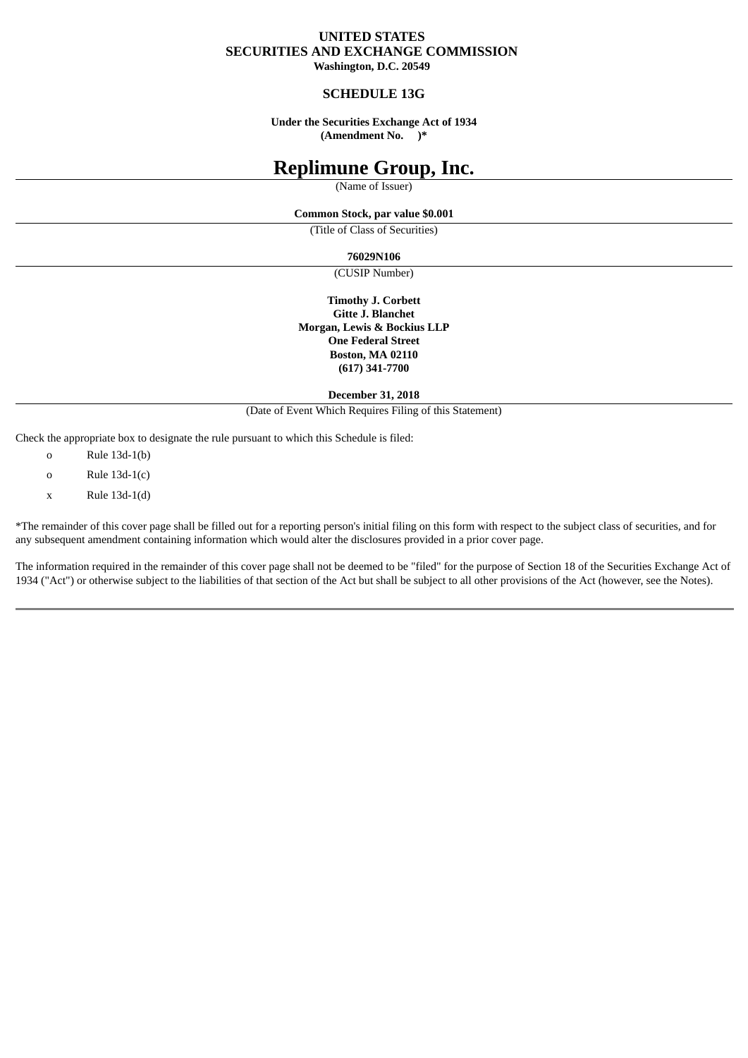# **UNITED STATES SECURITIES AND EXCHANGE COMMISSION**

**Washington, D.C. 20549**

### **SCHEDULE 13G**

**Under the Securities Exchange Act of 1934 (Amendment No. )\***

# **Replimune Group, Inc.**

(Name of Issuer)

#### **Common Stock, par value \$0.001**

(Title of Class of Securities)

#### **76029N106**

(CUSIP Number)

**Timothy J. Corbett Gitte J. Blanchet Morgan, Lewis & Bockius LLP One Federal Street Boston, MA 02110 (617) 341-7700**

**December 31, 2018**

(Date of Event Which Requires Filing of this Statement)

Check the appropriate box to designate the rule pursuant to which this Schedule is filed:

- o Rule 13d-1(b)
- o Rule 13d-1(c)
- x Rule 13d-1(d)

\*The remainder of this cover page shall be filled out for a reporting person's initial filing on this form with respect to the subject class of securities, and for any subsequent amendment containing information which would alter the disclosures provided in a prior cover page.

The information required in the remainder of this cover page shall not be deemed to be "filed" for the purpose of Section 18 of the Securities Exchange Act of 1934 ("Act") or otherwise subject to the liabilities of that section of the Act but shall be subject to all other provisions of the Act (however, see the Notes).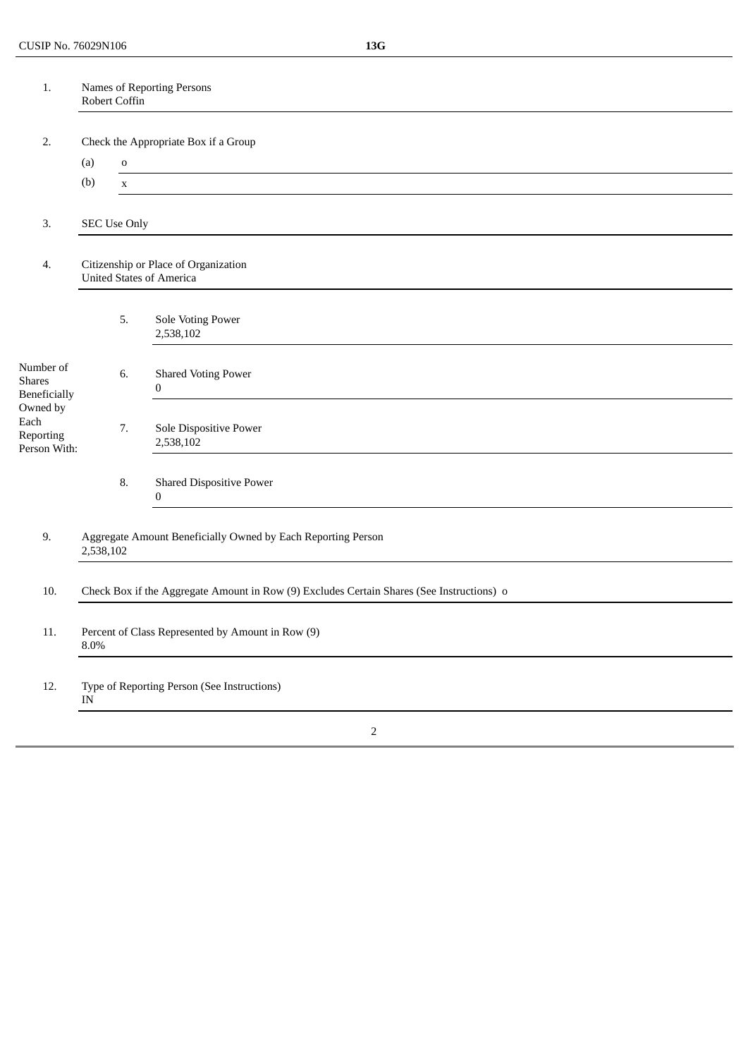| 1.                                                                                                 | Names of Reporting Persons<br>Robert Coffin                                               |                     |                                                |  |
|----------------------------------------------------------------------------------------------------|-------------------------------------------------------------------------------------------|---------------------|------------------------------------------------|--|
|                                                                                                    |                                                                                           |                     |                                                |  |
| 2.                                                                                                 | Check the Appropriate Box if a Group                                                      |                     |                                                |  |
|                                                                                                    | (a)                                                                                       | $\mathbf 0$         |                                                |  |
|                                                                                                    | (b)                                                                                       | $\mathbf X$         |                                                |  |
| 3.                                                                                                 |                                                                                           | <b>SEC Use Only</b> |                                                |  |
| 4.                                                                                                 | Citizenship or Place of Organization<br><b>United States of America</b>                   |                     |                                                |  |
|                                                                                                    |                                                                                           | 5.                  | <b>Sole Voting Power</b><br>2,538,102          |  |
| Number of<br><b>Shares</b><br><b>Beneficially</b><br>Owned by<br>Each<br>Reporting<br>Person With: |                                                                                           | 6.                  | <b>Shared Voting Power</b><br>$\boldsymbol{0}$ |  |
|                                                                                                    |                                                                                           | 7.                  | Sole Dispositive Power<br>2,538,102            |  |
|                                                                                                    |                                                                                           | 8.                  | <b>Shared Dispositive Power</b><br>$\bf{0}$    |  |
| 9.                                                                                                 | Aggregate Amount Beneficially Owned by Each Reporting Person<br>2,538,102                 |                     |                                                |  |
| 10.                                                                                                | Check Box if the Aggregate Amount in Row (9) Excludes Certain Shares (See Instructions) o |                     |                                                |  |
| 11.                                                                                                | Percent of Class Represented by Amount in Row (9)<br>8.0%                                 |                     |                                                |  |
| 12.                                                                                                | Type of Reporting Person (See Instructions)<br>$\ensuremath{\text{IN}}$                   |                     |                                                |  |
|                                                                                                    |                                                                                           |                     | $\overline{2}$                                 |  |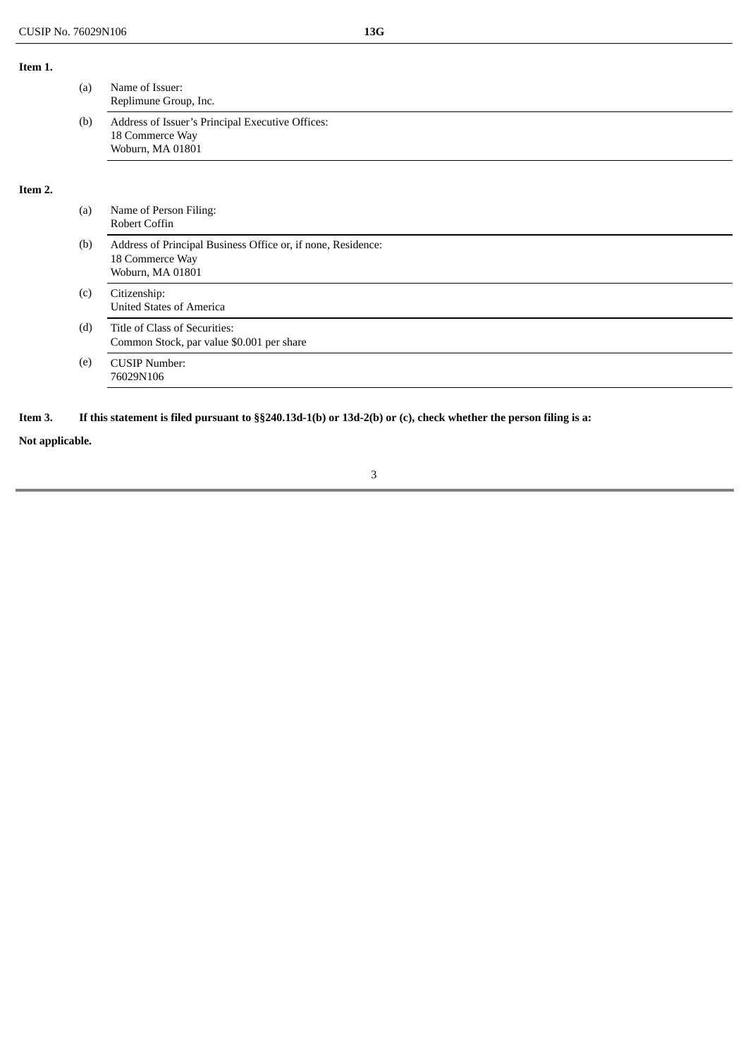**Item 1.**

|         | (a) | Name of Issuer:<br>Replimune Group, Inc.                                                            |  |  |
|---------|-----|-----------------------------------------------------------------------------------------------------|--|--|
|         | (b) | Address of Issuer's Principal Executive Offices:<br>18 Commerce Way<br>Woburn, MA 01801             |  |  |
| Item 2. |     |                                                                                                     |  |  |
|         | (a) | Name of Person Filing:<br>Robert Coffin                                                             |  |  |
|         | (b) | Address of Principal Business Office or, if none, Residence:<br>18 Commerce Way<br>Woburn, MA 01801 |  |  |
|         | (c) | Citizenship:<br><b>United States of America</b>                                                     |  |  |
|         | (d) | Title of Class of Securities:<br>Common Stock, par value \$0.001 per share                          |  |  |
|         | (e) | <b>CUSIP Number:</b><br>76029N106                                                                   |  |  |
|         |     |                                                                                                     |  |  |

## Item 3. If this statement is filed pursuant to §§240.13d-1(b) or 13d-2(b) or (c), check whether the person filing is a:

**Not applicable.**

## 3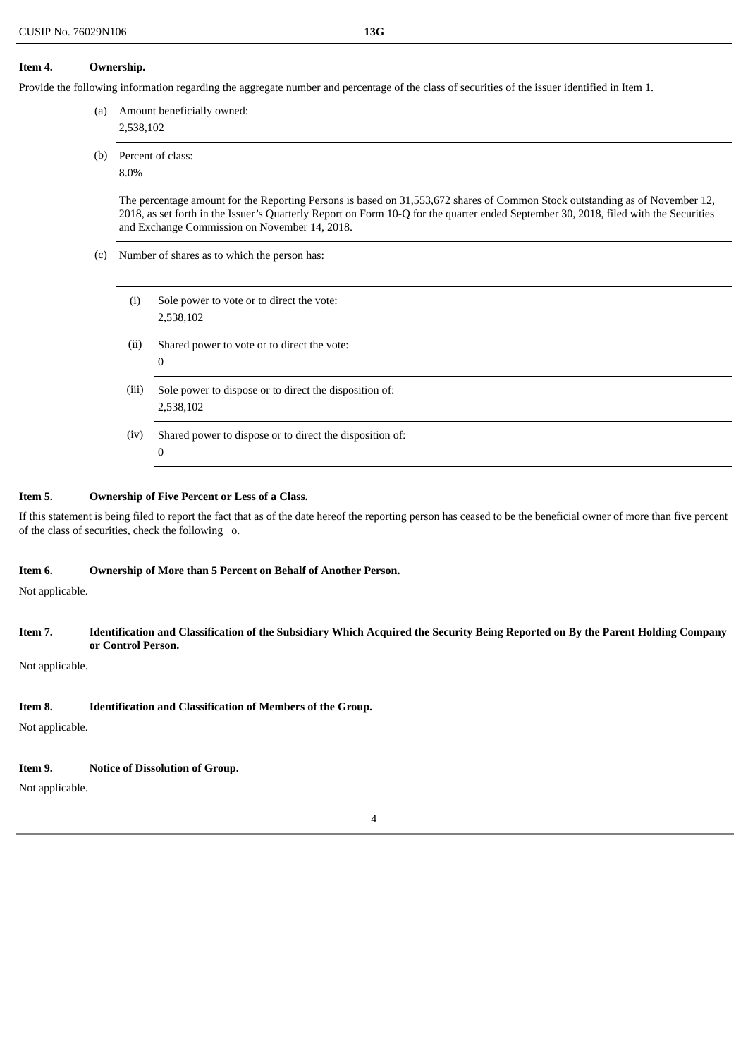#### **Item 4. Ownership.**

Provide the following information regarding the aggregate number and percentage of the class of securities of the issuer identified in Item 1.

(a) Amount beneficially owned:

2,538,102

- (b) Percent of class:
	- 8.0%

The percentage amount for the Reporting Persons is based on 31,553,672 shares of Common Stock outstanding as of November 12, 2018, as set forth in the Issuer's Quarterly Report on Form 10-Q for the quarter ended September 30, 2018, filed with the Securities and Exchange Commission on November 14, 2018.

- (c) Number of shares as to which the person has:
	- (i) Sole power to vote or to direct the vote: 2,538,102
	- (ii) Shared power to vote or to direct the vote: 0
	- (iii) Sole power to dispose or to direct the disposition of: 2,538,102
	- (iv) Shared power to dispose or to direct the disposition of:  $\theta$

#### **Item 5. Ownership of Five Percent or Less of a Class.**

If this statement is being filed to report the fact that as of the date hereof the reporting person has ceased to be the beneficial owner of more than five percent of the class of securities, check the following o.

#### **Item 6. Ownership of More than 5 Percent on Behalf of Another Person.**

Not applicable.

#### Item 7. Identification and Classification of the Subsidiary Which Acquired the Security Being Reported on By the Parent Holding Company **or Control Person.**

4

Not applicable.

## **Item 8. Identification and Classification of Members of the Group.**

Not applicable.

## **Item 9. Notice of Dissolution of Group.**

Not applicable.